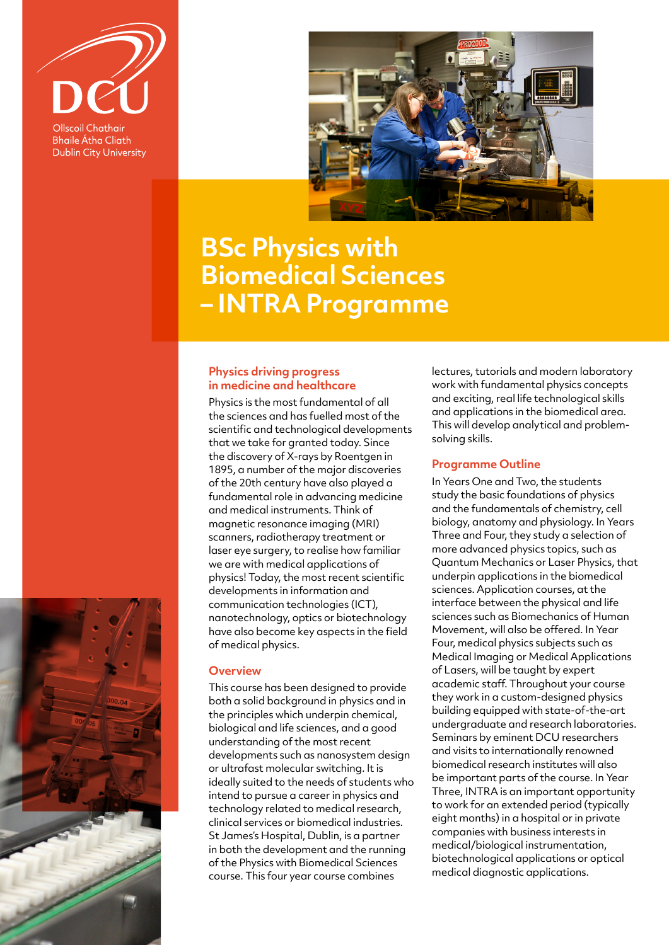

**Bhaile Átha Cliath Dublin City University** 



# **BSc Physics with Biomedical Sciences – INTRA Programme**

## **Physics driving progress in medicine and healthcare**

Physics is the most fundamental of all the sciences and has fuelled most of the scientific and technological developments that we take for granted today. Since the discovery of X-rays by Roentgen in 1895, a number of the major discoveries of the 20th century have also played a fundamental role in advancing medicine and medical instruments. Think of magnetic resonance imaging (MRI) scanners, radiotherapy treatment or laser eye surgery, to realise how familiar we are with medical applications of physics! Today, the most recent scientific developments in information and communication technologies (ICT), nanotechnology, optics or biotechnology have also become key aspects in the field of medical physics.

### **Overview**

This course has been designed to provide both a solid background in physics and in the principles which underpin chemical, biological and life sciences, and a good understanding of the most recent developments such as nanosystem design or ultrafast molecular switching. It is ideally suited to the needs of students who intend to pursue a career in physics and technology related to medical research, clinical services or biomedical industries. St James's Hospital, Dublin, is a partner in both the development and the running of the Physics with Biomedical Sciences course. This four year course combines

lectures, tutorials and modern laboratory work with fundamental physics concepts and exciting, real life technological skills and applications in the biomedical area. This will develop analytical and problemsolving skills.

# **Programme Outline**

In Years One and Two, the students study the basic foundations of physics and the fundamentals of chemistry, cell biology, anatomy and physiology. In Years Three and Four, they study a selection of more advanced physics topics, such as Quantum Mechanics or Laser Physics, that underpin applications in the biomedical sciences. Application courses, at the interface between the physical and life sciences such as Biomechanics of Human Movement, will also be offered. In Year Four, medical physics subjects such as Medical Imaging or Medical Applications of Lasers, will be taught by expert academic staff. Throughout your course they work in a custom-designed physics building equipped with state-of-the-art undergraduate and research laboratories. Seminars by eminent DCU researchers and visits to internationally renowned biomedical research institutes will also be important parts of the course. In Year Three, INTRA is an important opportunity to work for an extended period (typically eight months) in a hospital or in private companies with business interests in medical/biological instrumentation, biotechnological applications or optical medical diagnostic applications.